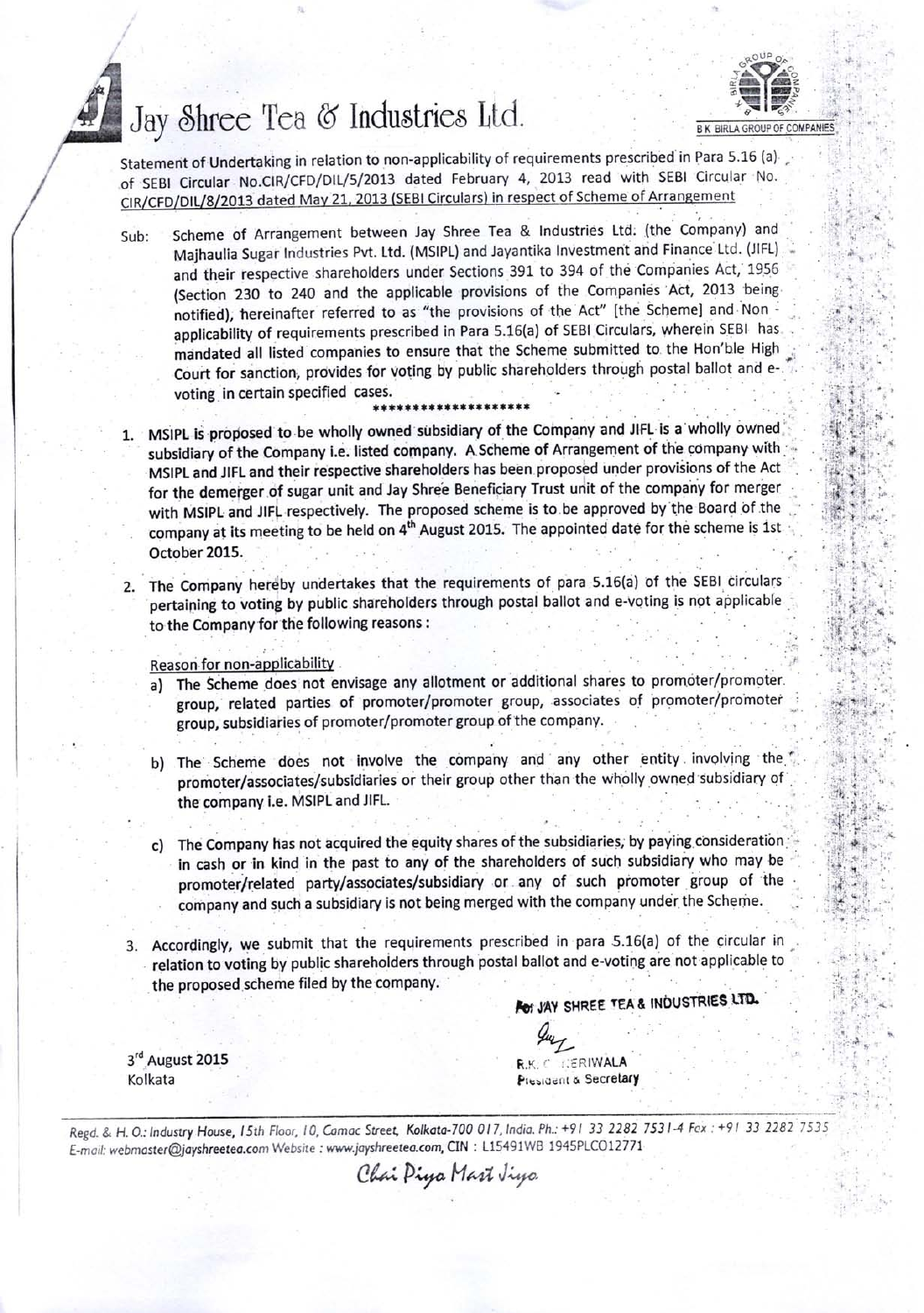## Jay Shree Tea & Industries Ltd.

.



.

 $i$ ,  $i$  $, 0, 1,$  $\mathbf{I} \cdot \mathbf{I}$ .jt ''l r. '  $\ddot{\cdot}$  :

 $\mathbb{R}^2$ i'r! .;

 $:$   $\mathbb{H}$ 

Statement of Undertaking in relation to non-applicability of requirements prescribed in Para 5.16 (a)<br>
of SEBI Circular No.CIR/CFD/DIL/5/2013 dated February 4, 2013 read with SEBI Circular No.<br>
CIR/CFD/DIL/8/2013 dated May

Sub: scheme of Arrangement between Jay shree Tea & Industries Ltd: (the company) and Majhaulia Sugar Industries Pvt. Ltd. (MSIPL) and Jayantika Investment and Finance Ltd. (JIFL) and their respective shareholders under Sections 391 to 394 of the Companies Act, 1956 (Section 230 to 240 and the applicable provisions of the Companies Act, 2013 being notified), hereinafter referred to as "the provisions of the Act" [the Scheme] and Non applicability of requirements prescribed in Para 5.16(a) of SEBI Circulars, wherein SEBI has mandated all listed companies to ensure that the Scheme submitted to the Hon'ble High Court for sanction, provides for voting by public shareholders through postal ballot and evoting in certain specified cases.

## \*\*\*\*\*\*\*\*\*\*\*\*\*\*

- MSIPL is proposed to be wholly owned subsidiary of the Company and JIFL is a wholly owned subsidiary of the Company i.e. listed company. A Scheme of Arrangement of the company with MSIpL and JIFL and their respective shareholders has been proposed under provisions of the Act for the demerger of sugar unit and Jay Shre'e Beneficiary Trust unit of the company for merger with MSIPL and JIFL respectively. The proposed scheme is to be approved by the Board of the company at its meeting to be held on 4<sup>th</sup> August 2015. The appointed date for the scheme is 1st October 2015.
- 2. The Company hereby undertakes that the requirements of para 5.16(a) of the SEBI circulars pertaining to voting by public shareholders through postal ballot and e-voting is not applicable to the Company for the following reasons :
	- Reason for non-applicability
	- a) The Scheme does not envisage any allotment or additional shares to promoter/promoter. group, related parties of promoter/promoter group, associates of promoter/promoter group, subsidiaries of promoter/promoter group of the company.
	- b) The Scheme does not involve the company and any other entity involving the promoter/associates/subsidiaries or their group other than the wholly owned subsidiary of the company i.e. MSIPL and JIFL.
	- c) The Company has not acquired the equity shares of the subsidiaries, by paying consideration in cash or in kind in the past to any of the shareholders of such subsidiary who may be ' promoter/related party/associates/subsidiary or any of such promoter group of the company and such a subsidiary is not being merged with the company under the Scheme.
- Accordingly, we submit that the requirements prescribed in para 5.16(a) of the circular in 3. relation to voting by public shareholders through postal ballot and e-voting are not applicable to ' the proposed scheme filed by the company.

For JAY SHREE TEA & INDUSTRIES LTD.

3<sup>rd</sup> August 2015 Kolkata

A  $\frac{4u}{L}$ **RIWALA** President & Secretary

Regd. & H. O.: Industry House, 15th Floor, 10, Camac Street, Kolkata-700 017, India. Ph.: +91 33 2282 7531-4 Fex: +91 33 2282 7535 E-moil: webmoster@jayshreetea.com Website : www.jayshreetea.com, CIN : L15491WB 1945PLCO12771

Chai Piya Mart Jiya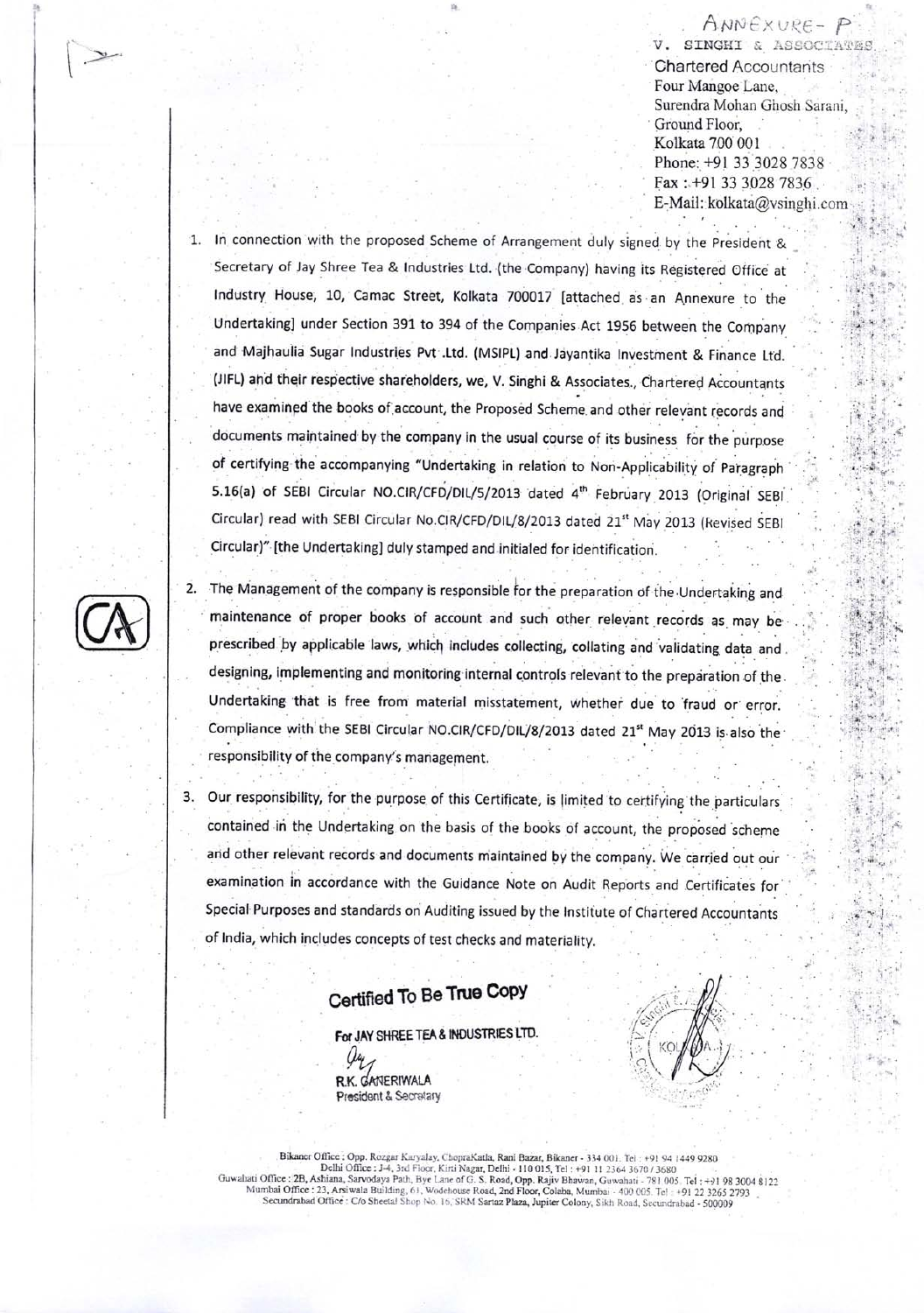ANNEXURE-P V. SINGHI & ASSOCIATES **Chartered Accountants** Four Mangoe Lane, Surendra Mohan Ghosh Sarani, Ground Floor, Kolkata 700 001 Phone: +91 33 3028 7838 Fax: +91 33 3028 7836 E-Mail: kolkata@vsinghi.com

- In connection with the proposed Scheme of Arrangement duly signed by the President & Secretary of Jay Shree Tea & Industries Ltd. (the Company) having its Registered Office at Industry House, 10, Camac Street, Kolkata 700017 [attached as an Annexure to the Undertaking] under Section 391 to 394 of the Companies Act 1956 between the Company and Majhaulia Sugar Industries Pvt .Ltd. (MSIPL) and Jayantika Investment & Finance Ltd. (JIFL) and their respective shareholders, we, V. Singhi & Associates., Chartered Accountants have examined the books of account, the Proposed Scheme and other relevant records and documents maintained by the company in the usual course of its business for the purpose of certifying the accompanying "Undertaking in relation to Non-Applicability of Paragraph 5.16(a) of SEBI Circular NO.CIR/CFD/DIL/5/2013 dated 4th February 2013 (Original SEBI Circular) read with SEBI Circular No.CIR/CFD/DIL/8/2013 dated 21<sup>st</sup> May 2013 (Revised SEBI Circular)" [the Undertaking] duly stamped and initialed for identification.
- 2. The Management of the company is responsible for the preparation of the Undertaking and maintenance of proper books of account and such other relevant records as may be prescribed by applicable laws, which includes collecting, collating and validating data and. designing, implementing and monitoring internal controls relevant to the preparation of the. Undertaking that is free from material misstatement, whether due to fraud or error. Compliance with the SEBI Circular NO.CIR/CFD/DIL/8/2013 dated 21<sup>st</sup> May 2013 is also the responsibility of the company's management.
- Our responsibility, for the purpose of this Certificate, is limited to certifying the particulars 3. contained in the Undertaking on the basis of the books of account, the proposed scheme and other relevant records and documents maintained by the company. We carried out our examination in accordance with the Guidance Note on Audit Reports and Certificates for Special Purposes and standards on Auditing issued by the Institute of Chartered Accountants of India, which includes concepts of test checks and materiality.

## Certified To Be True Copy

For JAY SHREE TEA & INDUSTRIES LTD.

R.K. GANERIWALA President & Secretary



Bikaner Office : Opp. Rozgar Karyalay, ChopraKatla, Rani Bazar, Bikaner - 334 001. Tel : +91 94 1449 9280 Dick Delhi Office : J.4, 3rd Floor, Kirii Nagar, Delhi 110 015, Tel : 191 112364 36707 / 3680<br>Delhi Office : J.4, 3rd Floor, Kirii Nagar, Delhi 110 015, Tel : 191 112364 36707 / 3680<br>Guwahati Office : 2B, Ashiana, Sarvoday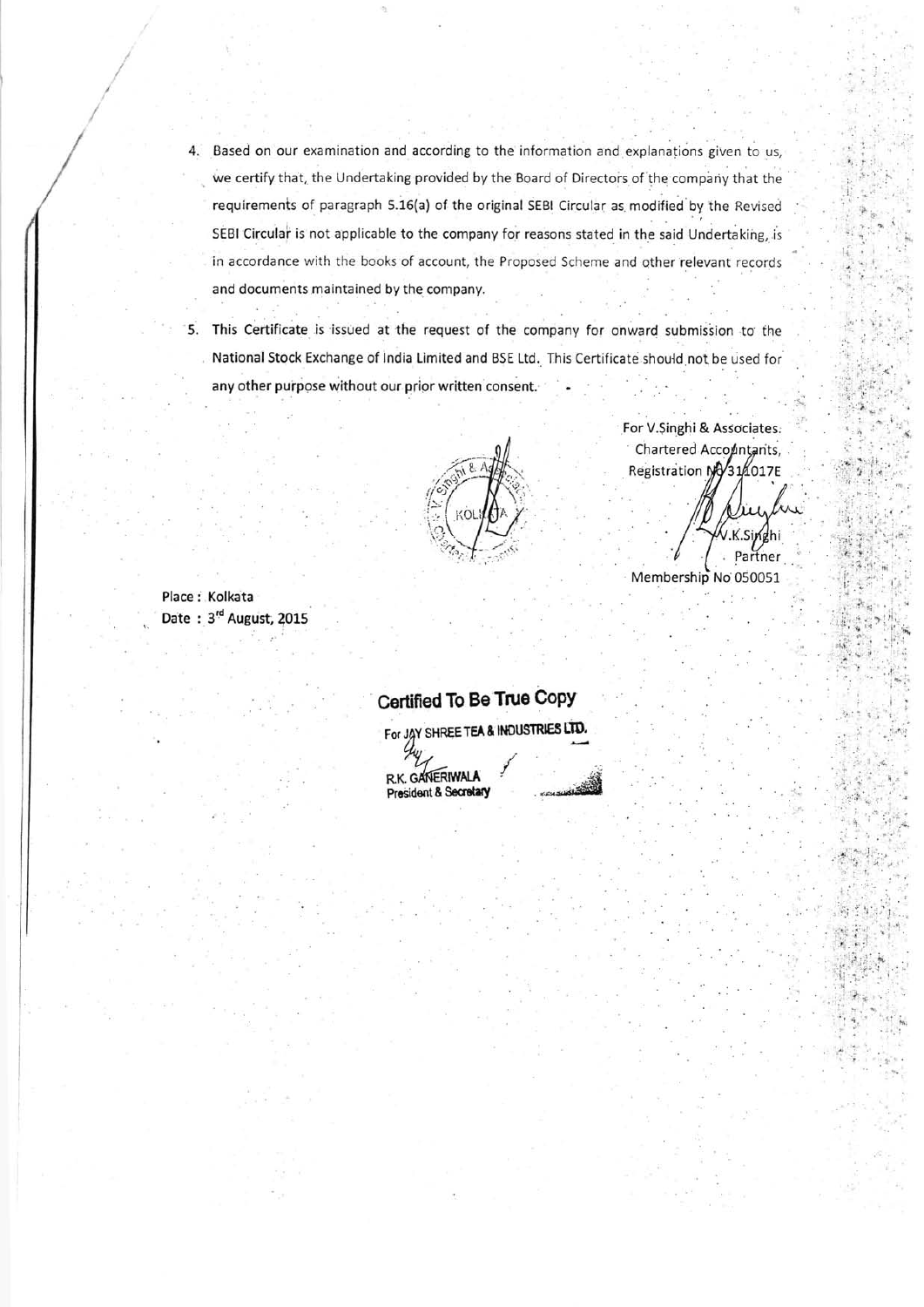- 4. Based on our examination and according to the information and explanations given to us, we certify that, the Undertaking provided by the Board of Directors of the company that the requirements of paragraph 5.16(a) of the original SEBI Circular as modified by the Revised SEBI Circular is not applicable to the company for reasons stated in the said Undertaking, is in accordance with the books of account, the Proposed Scheme and other relevant records and documents maintained by the company.
- 5. This Certificate is issued at the request of the company for onward submission to the National Stock Exchange of India Limited and BSE Ltd. This Certificate should not be used for any other purpose without our prior written consent.

Place : Kolkata Date: 3<sup>rd</sup> August, 2015

## Chartered Accountants, Registration NV314017E

For V.Singhi & Associates.

'.4. ..i'

Partner Membership No 050051

Certified To Be True CoPY For JAY SHREE TEA & INDUSTRIES LTD.

R.K. GANERIWALA President & Secretary